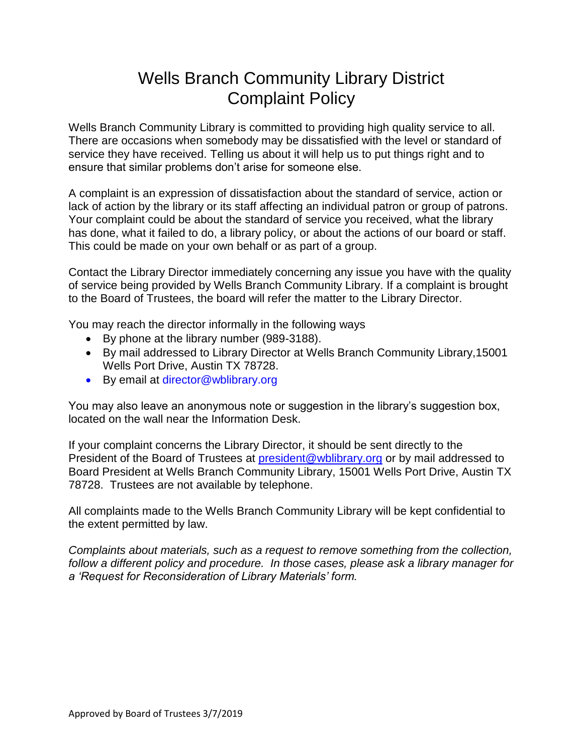## Wells Branch Community Library District Complaint Policy

Wells Branch Community Library is committed to providing high quality service to all. There are occasions when somebody may be dissatisfied with the level or standard of service they have received. Telling us about it will help us to put things right and to ensure that similar problems don't arise for someone else.

A complaint is an expression of dissatisfaction about the standard of service, action or lack of action by the library or its staff affecting an individual patron or group of patrons. Your complaint could be about the standard of service you received, what the library has done, what it failed to do, a library policy, or about the actions of our board or staff. This could be made on your own behalf or as part of a group.

Contact the Library Director immediately concerning any issue you have with the quality of service being provided by Wells Branch Community Library. If a complaint is brought to the Board of Trustees, the board will refer the matter to the Library Director.

You may reach the director informally in the following ways

- By phone at the library number (989-3188).
- By mail addressed to Library Director at Wells Branch Community Library,15001 Wells Port Drive, Austin TX 78728.
- By email at director@wblibrary.org

You may also leave an anonymous note or suggestion in the library's suggestion box, located on the wall near the Information Desk.

If your complaint concerns the Library Director, it should be sent directly to the President of the Board of Trustees at [president@wblibrary.org](mailto:president@wblibrary.org) or by mail addressed to Board President at Wells Branch Community Library, 15001 Wells Port Drive, Austin TX 78728. Trustees are not available by telephone.

All complaints made to the Wells Branch Community Library will be kept confidential to the extent permitted by law.

*Complaints about materials, such as a request to remove something from the collection, follow a different policy and procedure. In those cases, please ask a library manager for a 'Request for Reconsideration of Library Materials' form.*